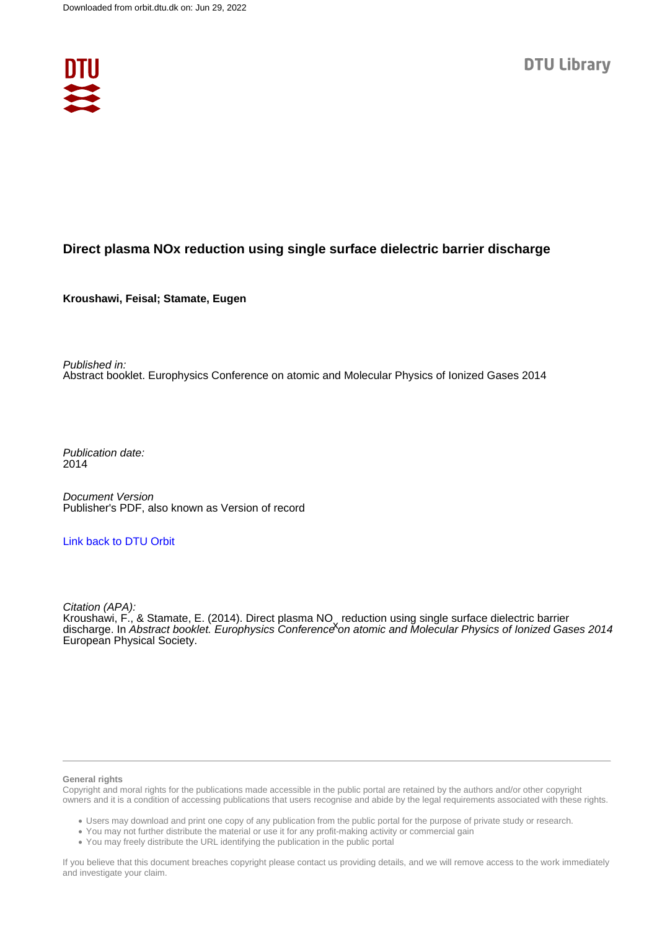

## **Direct plasma NOx reduction using single surface dielectric barrier discharge**

**Kroushawi, Feisal; Stamate, Eugen**

Published in: Abstract booklet. Europhysics Conference on atomic and Molecular Physics of Ionized Gases 2014

Publication date: 2014

Document Version Publisher's PDF, also known as Version of record

### [Link back to DTU Orbit](https://orbit.dtu.dk/en/publications/0f7fcb41-14c7-4639-b1fc-c75679970166)

Citation (APA): Kroushawi, F., & Stamate, E. (2014). Direct plasma NO, reduction using single surface dielectric barrier<br>discharge, In Abstract booklet, Europhysics Conference on atomic and Molecular Physics of Ionized Ga discharge. In *Abstract booklet. Europhysics Conference* on atomic and Molecular Physics of Ionized Gases 2014 European Physical Society.

#### **General rights**

Copyright and moral rights for the publications made accessible in the public portal are retained by the authors and/or other copyright owners and it is a condition of accessing publications that users recognise and abide by the legal requirements associated with these rights.

Users may download and print one copy of any publication from the public portal for the purpose of private study or research.

- You may not further distribute the material or use it for any profit-making activity or commercial gain
- You may freely distribute the URL identifying the publication in the public portal

If you believe that this document breaches copyright please contact us providing details, and we will remove access to the work immediately and investigate your claim.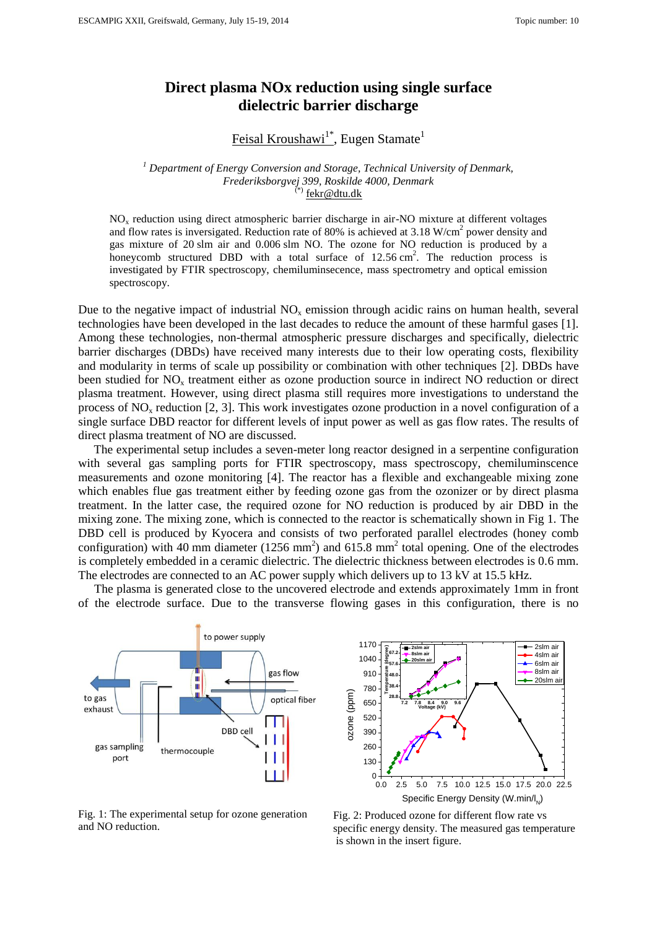# **Direct plasma NOx reduction using single surface dielectric barrier discharge**

<u>Feisal Kroushawi<sup>1\*</sup>,</u> Eugen Stamate<sup>1</sup>

### *<sup>1</sup> Department of Energy Conversion and Storage, Technical University of Denmark, Frederiksborgvej 399, Roskilde 4000, Denmark* fekr@dtu.dk

NO<sup>x</sup> reduction using direct atmospheric barrier discharge in air-NO mixture at different voltages and flow rates is inversigated. Reduction rate of 80% is achieved at 3.18  $W/cm<sup>2</sup>$  power density and gas mixture of 20 slm air and 0.006 slm NO. The ozone for NO reduction is produced by a honeycomb structured DBD with a total surface of  $12.56 \text{ cm}^2$ . The reduction process is investigated by FTIR spectroscopy, chemiluminsecence, mass spectrometry and optical emission spectroscopy.

Due to the negative impact of industrial  $NO<sub>x</sub>$  emission through acidic rains on human health, several technologies have been developed in the last decades to reduce the amount of these harmful gases [1]. Among these technologies, non-thermal atmospheric pressure discharges and specifically, dielectric barrier discharges (DBDs) have received many interests due to their low operating costs, flexibility and modularity in terms of scale up possibility or combination with other techniques [2]. DBDs have been studied for  $NO<sub>x</sub>$  treatment either as ozone production source in indirect NO reduction or direct plasma treatment. However, using direct plasma still requires more investigations to understand the process of  $NO<sub>x</sub>$  reduction [2, 3]. This work investigates ozone production in a novel configuration of a single surface DBD reactor for different levels of input power as well as gas flow rates. The results of direct plasma treatment of NO are discussed.

The experimental setup includes a seven-meter long reactor designed in a serpentine configuration with several gas sampling ports for FTIR spectroscopy, mass spectroscopy, chemiluminscence measurements and ozone monitoring [4]. The reactor has a flexible and exchangeable mixing zone which enables flue gas treatment either by feeding ozone gas from the ozonizer or by direct plasma treatment. In the latter case, the required ozone for NO reduction is produced by air DBD in the mixing zone. The mixing zone, which is connected to the reactor is schematically shown in Fig 1. The DBD cell is produced by Kyocera and consists of two perforated parallel electrodes (honey comb configuration) with 40 mm diameter ( $1256$  mm<sup>2</sup>) and  $615.8$  mm<sup>2</sup> total opening. One of the electrodes is completely embedded in a ceramic dielectric. The dielectric thickness between electrodes is 0.6 mm. The electrodes are connected to an AC power supply which delivers up to 13 kV at 15.5 kHz.

The plasma is generated close to the uncovered electrode and extends approximately 1mm in front of the electrode surface. Due to the transverse flowing gases in this configuration, there is no





Fig. 1: The experimental setup for ozone generation

Fig. 2: Produced ozone for different flow rate vs specific energy density. The measured gas temperature is shown in the insert figure.